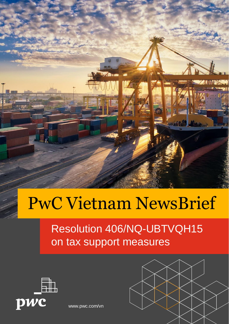

# PwC Vietnam NewsBrief

#### Resolution 406/NQ-UBTVQH15 on tax support measures



[www.pwc.com/vn](http://www.pwc.com/vn)

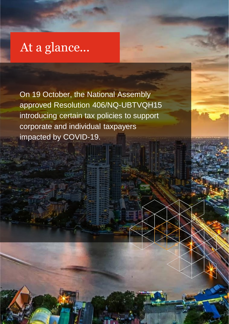### At a glance...

**Presentation title** 

On 19 October, the National Assembly approved Resolution 406/NQ-UBTVQH15 introducing certain tax policies to support corporate and individual taxpayers impacted by COVID-19.

1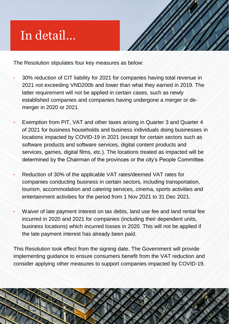## In detail…

**Presentation title** 



1

3

The Resolution stipulates four key measures as below:

- 30% reduction of CIT liability for 2021 for companies having total revenue in 2021 not exceeding VND200b and lower than what they earned in 2019. The latter requirement will not be applied in certain cases, such as newly established companies and companies having undergone a merger or demerger in 2020 or 2021.
- Exemption from PIT, VAT and other taxes arising in Quarter 3 and Quarter 4 of 2021 for business households and business individuals doing businesses in locations impacted by COVID-19 in 2021 (except for certain sectors such as software products and software services, digital content products and services, games, digital films, etc.). The locations treated as impacted will be determined by the Chairman of the provinces or the city's People Committee.
- Reduction of 30% of the applicable VAT rates/deemed VAT rates for companies conducting business in certain sectors, including transportation, tourism, accommodation and catering services, cinema, sports activities and entertainment activities for the period from 1 Nov 2021 to 31 Dec 2021.
- Waiver of late payment interest on tax debts, land use fee and land rental fee incurred in 2020 and 2021 for companies (including their dependent units, business locations) which incurred losses in 2020. This will not be applied if the late payment interest has already been paid.

This Resolution took effect from the signing date. The Government will provide implementing guidance to ensure consumers benefit from the VAT reduction and consider applying other measures to support companies impacted by COVID-19.